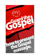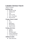# **Colombo Christian Church**

Table of contents

# **Building Faith**

- *Purpose of Life*
- *Seeking God*
- *God*
- *Jesus is God*
- *Jesus" Teachings*
- *Word of God*

# **Change of heart & mind**

- *Sin*
- *Cross*
- *Repentance*
- *Discipleship*
- *Jesus is Lord*

# **Uniting with Christ**

- *Church*
- *Baptism*
- *The Holy Spirit*
- *Great Commission*
- *Counting the Cost*

# **Additional studies**

*False Doctrines*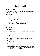# **Building Faith**

# Purpose of Life

To help people realize that seeking God & finding him can be the best purpose in life.

### *Acts 17:26, 27*

### *Truth to focus:*

God determined the times & the exact places where people should live perhaps they could seek him & find him.

## *Purposeful Questions:*

 Why did God determine the times & the exact places where people should live?

### *Psalm 90:10-12*

### *Truth to focus:*

Life is short.The wisest thing that we can do with our life is to find God because without God we can"t enter eternity

### *Purposeful Questions:*

- How can we gain a heart of wisdom?
- What is the wisest thing that we can do with this short life?

#### $\bullet$ *Ecclesiastes 3:11*

### *Truth to Focus:*

In every human soul is a God-given awareness that there is "something more" than this transient world. The truth is "there is life beyond this world".That means we need to prepare ourselves for eternal life.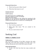### *Purposeful Questions:*

- What God has put in Man's heart?
- What does that mean to you?

# *Genesis 1:27, 28*

### *Truth to focus:*

We need God to live a fulfilling life. God has created us in his own image. What does that mean? Because we are created in his image the meaning & the purpose of our life can be found only by knowing God. Without knowing God we cannot live a fulfilling life.

## *Purposeful Questions:*

- How God has created us??
- What does that mean "We are created in his image"?
- Do you want to know God?

# Seeking God

# *Matthew 7:7, Matthew 7:13-14*

### *Truth to focus:*

One of the great promises of the bible: everyone who seeks finds! Plus, one of the great warnings in the bible: only a few will find. Because the way to find God is narrow  $\&$  small.

### *Purposeful Questions:*

 If only a few find God, then how many actually seek Him?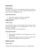### *Luke 13:22-30*

#### *Truth to focus:*

Yes, only a few will be saved; therefore, make every effort to seek. Those who simply 'try' will be caught off guard by their rejection from the kingdom of God.

### *Purposeful Questions:*

- How can you make every effort to seek Him?
- Why is it so dangerous to simply 'try?'

## *Matthew 6:25-33*

### *Truth to focus:*

Jesus told them not to worry about the basic needs but rather seek God, his kingdom & his righteousness as God is the provider of all things.

Worrying can distract us from seeking God.

### *Purposeful Questions:*

- What things can distract you from seeking God as your first priority?
- What changes must you make in order to make God's kingdom and righteousness your top priority?

### *Matthew 13:44-46*

### *Truth to focus:*

Finding God is like finding a great treasure or a valuable pearl.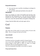### **Purposeful Questions:**

- Is it a joy for you to sacrifice everything in exchange for God's grace?
- Do you really understand and believe the trade off?

# *Acts 8:26-40*

Here's an example of a seeker who humbly puts God first, thus finding Him and finding great joy. Take note that the Ethiopian Eunuch was a busy man, a man who needed a disciple"s help to seek God, a man who used the bible as his guide to finding God.

Charge: Read the Bible daily and study again with us.

# God

# **Purpose:**

The main aim of this study is to get an idea of God in the Bible - He is a living God and not an Idol.

# *Acts 17:24-30*

# *Truth to focus:*

God does not live in temples made by human hands. As we are God"s offspring,we ought not to think that the divine being is like gold or silver or stone, an image formed by the art and imagination of man.

Now he commands all people everywhere to repent.

# *Purposeful Questions*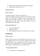- What God is not like according to this passage?
- What does God desire for us?

## *Psalms 135:15-17*

### *Truth to focus:*

The idols are *lifeless*. They are made by *men*.

Idols have different parts of the *body*, but cannot use them. They can't respond to people's *prayer*. We humans are better off than idols, at least we can actually hear, see, understand and feel. Those who make idols & trust in idols will become like idols.

# *Purposeful Questions*

- Can man make God?
- Are idols useful?
- What happens to those who make & trust in idols?

# **Jeremiah 10:5**

# *Truth to focus:*

Idols are like scarecrows in the field. The scarecrows can't do anything yet the crows are scared of them. Idols cannot do anything to you, yet people are scared to give it up because of the superstitions and stories associated with them. Idols are powerless! *DO not FEAR IDOLS*.

# *Purposeful Questions:*

To what idols are compared to?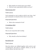- Why people are scared to give up on idols?
- What are some superstitious beliefs you have?

### *Deuteronomy 5:8-9*

### *Truth to focus:*

God commands us not to make an idol in any form. And god commands we should not bow down to any idols.

# *Purposeful Questions:*

What is the command of God?

# *1 Corinthians 10:14*

# *Truth to focus:*

Flee (*run far away*) from idol worship.

### *Purposeful Questions:*

• Why should we flee from idolatry?

# *Revelation 21:8*

# *Truth to focus:*

Here the *idolaters* are clubbed together with *murderers* and *sexuallyimmoral*. We tend to consider *idolatry* as not the serious offense. But their fate is *hell*.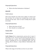### *Purposeful Questions:*

What is the final destination of idolaters?

# *John 4:24*

# *Truth to focus:*

Here Jesus himself says that God is Spirit. It means God has no form. So we must not worship him in any form, because he has none. And we must worship him in spirit & in truth.

# *Purposeful Questions:*

- What is the form of God?
- How should we worship God?

# *Psalms 103:8*

### *Truth to focus:*

**God's Nature:** He is *compassionate, gracious,slow to anger & abounding in Love*. Yes, he is God of *Justice* but also he is a God whose l*ove is perfect*. HE is **not an old man** sitting at heaven watching all of us & punishing those who are sinning. But he desires a deep fatherly relationship with us.

# *Purposeful Questions:*

What is the image of God that you have in your mind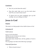## **Conclusion:**

- How do you feel about the study?
- Does this study help you to see the truth about God? Do you want to learn more?
- To please God you must completely give up idol worship. Are you willing to do that?

# **Jesus is God**

# **Purpose:**

This study is to help people to have faith in Jesus as God.

# *Colossians 2:9*

# *Truth to focus:*

Jesus is God in the flesh. All that you see in God you see in Jesus. That means Jesus is God. That means Jesus should have all the qualities of God in Heaven. We are going to see that in the following 3 passages.

# *Purposeful Questions:*

• What is found in Jesus ?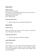### **Mark 4:35-41**

## *Truth to focus:*

Only God has the power. We can see in this passage that Jesus has the power to control the wind and the waves. That means Jesus is God. He is All-powerful.

# *Purposeful Questions:*

Who has the power to control natural forces?

### *Mark 1:40-42*

### *Truth to focus:*

Jesus can HEAL any disease. He has power to heal any man. That means Jesus is God.

### *Purposeful Questions:*

Who has the power to heal any disease?

### *Luke 7:36-39, 48-50*

### *Truth to focus:*

This woman was a very sinful woman because the whole town seemed to know about her sin. Yet Jesus showed love and compassion to this woman. Jesus forgave this woman like God.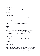# *Purposeful Question:*

• Who alone can forgive sin?

# *1 John 3:5*

## *Truth to Focus:*

Only sinless man can take away other people"s sins.

# *Purposeful Questions:*

Did Jesus commit any sin in his life?

Do you know anyone who has lived a sinless life?

## *Acts 4:12 Truth to Focus:*

Jesus is the only name by which the whole world can be saved. There is no other name!Only through Jesus name you will be saved, you will go to Heaven.

### *Purposeful Questions:*

By whose name the whole mankind will be saved?

# *John 14:6*

# *Truth to focus:*

Jesus is saying He is the *WAY*, The *ONLY WAY*. Means there is no other way to Heaven. You can try but there is no other way. Jesus is the *TRUTH*, the complete *TRUTH*.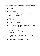All religions have some truth, but the complete truth you find in Jesus. Jesus is the LIFE. Only through Jesus we have eternal life.

### *Purposeful Questions:*

 Is there any other way besides Jesus by which someone can be saved?

### **Conclusion:**

- Who is Jesus?
- What about other gods?
- Do you want to follow Jesus?If*YES*, then you have to follow him only. You can't worship him and other gods at the same time.
- What do people call those people who follow Jesus? - *Christians.*
- What will people call you if you follow Jesus? - *Christian*.
- You have to get comfortable with that ?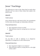# Jesus' Teachings

The following are some of the claims that he made about Himself. Let's see some of those claims that explain why Jesus is God.

# *John 6:35*

# *Truth to focus:*

Jesus claimed that he is the bread of life. Our nourishment for life comes only through our relationship with Jesus.

# *Purposeful Questions:*

- How important is food to our life?
- What did Jesus mean by saying that he is the bread of life?

# *John 8:12*

# *Truth to focus:*

No one likes to walk in darkness. It is dangerous. Spiritually it is dangerous to walk without Jesus.

# *Purposeful Questions:*

- How important is light to our existence?
- What did Jesus mean by saying that he is the light of this world ?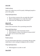# *John 8:46*

# *Truth to focus:*

Jesus was without any sin! He openly challenged people to prove him guilty.

# *Purposeful Questions:*

- Do you know anyone who can make this claim?
- What would happen if you make this claim?
- What does this challenge say about Jesus ?

### **John 11:25** *Truth to focus:*

Jesus is the resurrection. He is promising eternal life.

# *Purposeful Questions:*

- What does the word resurrection mean?
- What happens to those who believes in Jesus & die?
- How can we trust in this claim?

# **Heb 9:27**

# *Truth to focus:*

It is not reincarnation that Jesus is promising. Because after death there is only waiting for Judgment and no rebirth

# *Purposeful Questions:*

What happens to us after we die?

# **John 20:29**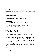# *Truth to focus:*

None of us have seen Jesus. If we believe in Him we will be blessed. So put your trust in Jesus. Put your faith in Him!

# *Purposeful Questions:*

Who is blessed according to this scripture?

# **Conclusion:**

There is no one like Jesus. Jesus is THE ONLY WAY.  $Q:$ 

- *Do you believe that Jesus is the only way?*
- *Do you want to follow Jesus?*

# Word of God

What is the Bible and what do we do with it?

Faith comes from hearing the message, and the message is heard through the word of Christ (*Romans 10:17*).

Thus, the aim of studying the Word of God is to help a seeker build faith in Jesus.

One must accept the bible as the one true standard (*vs. feelings, experiences, peers' opinions, or family traditions*) by which to live life if one is to know true salvation from Jesus.

# *2 Timothy 3:16-17*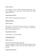### *Truth to focus:*

All scripture is God- breathed. Meaning inspired by God. Even though men wrote this. They wrote this being inspired by God.

# *Purposeful questions:*

What is bible according to this scripture?

## *Hebrews 4:12-13*

### *Truth to focus:*

The word of God has life  $&$  has power to change us. Remember we all have to give an account to God who knows everything about us.

# *Purposeful questions:*

Why should we read the bible?

# *1 Timothy 4:15-16*

# *Truth to focus:*

Life and doctrine are both important.

Discuss principles of bible study that will produce correct doctrine. Suggest ways to put the bible's teaching into practice.

# *Purposeful questions:*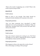What is the result of neglecting one or both? What is the result of persevering in both?

### *John 8:31-32*

### *Truth to focus:*

Belief in Jesus is not enough. That belief should be nurtured towards obedience for someone to be saved.

### *Purposeful questions:*

How are these particular Jews described? Is belief sufficient if it is not accompanied by obedience? Who are really Jesus" disciples? How will you know the truth? How will you be set free?

### *John 12:47-48*

### *Truth to focus:*

Take note of Jesus" purpose for coming to you. The Word will judge us if we reject it. Rejecting the Word is equated with rejection of Jesus and his salvation.

### *Purposeful questions:*

Who happens to those who rejects the words of Jesus? Who is the Judge according to this passage?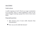### *Acts 17:10-11*

### *Truth to focus:*

A noble response to God"s Word is an eager examination of it everyday! This is a great challenge to issue to any seeker! Suggest studying a gospel this week to know Jesus better.

### *Purposeful questions:*

- Why bereans were of more noble character than Thessalonians?
- How can you be noble like bereans?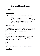# **Change of heart & mind**

# Grace

# *Romans 3:21-27*

- 1. All are in complete need of grace for all have sinned.
- 2. Christ is propitiation or atonement (*temple illustration*) for the wrath we"ve earned. He redeems (*slavery illustration*) us; he justifies (*legal illustration*) us. Discuss the illustrations.

### *Romans 4:22-25*

We have Jesus' righteousness credited to us via faith. Jesus died for our sins and was raised for our justification. He takes our sins and gives His righteousness

### *Ephesians 2:8 to 10*

We are saved by Grace not by our works. But we are saved to do good works. True understanding of Cross & grace leads us to acts of righteousness

# Sin

To help people to get in touch with their sinful nature.

# *Isaiah 59:1-2*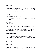### *Truth to focus:*

Sin has made a separation between us and God. This study is not just about a list of sins, but instead about the depth of your separation from your Father.

# *Purposeful Questions:*

- What is the heart of God??
- What stops God from listening & answering our prayers?

### **1 John 1:5-10** *Truth to focus:*

When you confess your sins, God is faithful  $\&$  just  $\&$  he will purify you from all unrighteousness.

The Greek word for confess is "*homologeo* "which means "*agree/ acknowledge"*. And also it means publicly declare.

# *Purposeful Questions:*

- What are the benefits of confessing our sins?
- What are the consequences of hiding or being unaware of our sins?

# *Mark 7:21-22*

# *Truth to focus:*

Take ownership for sin! We are responsible for our own sin. Despite genetics, parenting, peer pressures, and socio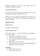economic conditions, sin comes from within our own hearts and makes us unclean.

## *Purposeful Questions:*

Do you know what it means to be unclean? What is the consequence of being unclean before God ?

There are fewer scriptures in this study in order that you can spend a great deal of time talking through their past and current sins.

### *Matthew 5:27-30*

### *Truth to focus:*

Be urgent to deal with sin.

# *Purposeful Questions:*

If you had a disease on your hand that was spreading to your whole body,

- how quickly would you cut it off?
- Would you do it quickly or slowly?
- How would your daily life be different if you cut off your hand ?
- What do you have to cut off?
- How quickly must you do this and other things that cause you to sin in your life ?

# *Challenge:*

- Write a list of your sin.
- read *Mark chapters 14-15.*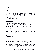# Cross

### *Mark 14:26-15:41*

Jesus chose to die for us. Who killed Jesus? I did. You did. Reflect on the reasons why Jesus endures these afflictions (*my sins require it, and His love offers it. Take the seeker through this passage & explain to them about the suffering that Jesus had to go through on the cross*)

### *1 Peter 2:21-25*

Why did Jesus die on the cross for us ?

So that we might die to sin and live for the new righteousness that the cross provides. This is our response to the cross.

### *2 Cor 5:14-15*

Being Compelled by the Love of Christ we should no longer live for ourselves but for the one who died for us.

# Repentance

### **How to have a Total Mind Change:**

After believing grace, the biblical response is to repent and be baptized for forgiveness of sins (*Acts 2:36-38*). Repentance, however, is a powerful blessing from God that has been stripped of its potency. The Greek word for repentance"*metanoia"*, means "*after – mindset*". Be careful not to present repentance as a work that leads to salvation; rather, it is our awakening to come to our senses and live the way God had always intended for us. It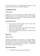is more than a decision; it is adopting Jesus' worldview, which always results in the fruit of a turned, changed life.

### *2 Corinthians 5:14-21*

### *Truth to focus:*

Repentance is to stop viewing Jesus & other humans from a earthly point of view. The value system of the world is highly misplaced. Those of us who have truly understood Jesus will see people through the eyes of Jesus.

### *Purposeful Questions:*

- What does the bible describe about the life when someone becomes a Christian?
- What motivates this change?
- What is the value system of the world? What does the people of this world value in others?
- How does it change when you become a Christian? Why it should change?

# *Luke 3:7-14*

### *Truth to Focus:*

The fruit of repentance is the evidence of a changed mindset. John the Baptist insisted on repentance before baptism. (*Notice that he directs no one to pray and weep before God, confessing how bad he or she feels about his or her sins – which many people today confuse for repentance.*)

# *Purposeful Questions:*

According to this passage what is repentance ?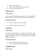- What is not repentance ?
- If you were to ask John, "*What should I do ?*"
- How would he respond to you?

### *Luke 13:1-5, 6-9*

### *Truth to focus:*

Jesus preaches that without repentance, we will all perish. He likewise expects to find fruit every time there is true repentance.

### *Purposeful Questions:*

- What will happen if you don't repent?
- What God desires in each one of us?

### *Acts 26:15-21*

### *Truth to focus:*

Jesus gives Paul the charge to "*open their eyes*" (It"s like "*wakeup call*") so that "*they may turn*" and prove repentance by their deeds. Repentance involves a new perspective, a turning of allegiance, and fruit.

### *Purposeful Questions:*

- What did Paul teach wherever he went?
- How can someone prove their repentance?

### *2 Corinthians 7:8-11*

*Truth to focus:*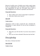Beware of worldly sorrow. Worldly sorrow leads to guilt, shame & fear of condemnation. This will people to make it difficult to take responsibility for their sins. But godly sorrow leads to acknowledgement of sin & then to repentance and salvation.

# *Purposeful Questions:*

- Why worldly sorrow doesn't lead people to repentance?
- What does Godly sorrow lead to?

### *Acts 3:19*

### *Truth to focus:*

Repentance results in both a turned life and a refreshed life. Refreshment is a great indicator for the joy that accompanies a changed life.

### *Purposeful Questions:*

- What does your life look like if you have truly turned to God?
- Have you ever been refreshed? What does that feel like?

# Discipleship

How does a Christian look like?

# *Acts 11:25-26*

### *Truth to Focus:*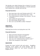The disciples were called Christians first at Antioch. If we need to understand how a Christian should like we should understand from scriptures how a disciple must look like.

# *Purposeful Questions:*

- How many times is the word Christian used in NT ? (3)
- $\bullet$  How many times is the word disciple used ?- (276)
- If you asked someone wearing a cross necklace, "*Are you a Christian ?*"
- what would be the typical answer?
- How about being a disciple? Why?
- How can we use the Bible to define "Christian?"

### *Luke 9:23-27 Truth to Focus:*

Following Jesus involves even laying down one's life.

### *Purposeful Questions:*

- What are the three demands of discipleship?
- What does it mean to "*deny yourself ?*"
- What does it mean to "*take up you cross daily ?*"
- How can we be "*ashamed of Jesus and His words ?*"
- What is the consequence of this shame?

### *Luke 9:57-62*

Examine the issues involved with each person - thoughtless following, excuse making, and second thoughts. Note the parallel between "*follow me*" and "*preach everywhere the kingdom of God.*"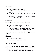### *Mark 1:16-20*

- What does it mean to follow Jesus?
- Which is easier to do, catch a fish or catch a man for God? Why?
- Following Jesus, being taught, discipled, trained for his mission. are you involved in that process?
- If you are not fishing for men, are you following Jesus? Do you know any disciples?

### *Matt. 28:18-20*

The Great Commission: God's plan to save the world.

- What does God want everyone to become?
- Do we all need to make disciples ?
- What if only a few of us made disciples and the rest of the Church just stood at a distance and watched ?

The commission is accomplished through a multiplying chain of disciples.

### *Challenge:*

- Do you want to be a disciple ?
- What changes do you need to make ?

# Jesus is Lord

There are many in this world believe Jesus as their Personal Savior. For us to be saved we need to believe Jesus as not only our Savior & but also accept him as our Lord.

When we do that we will see repentance in the following areas.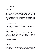### *Romans 10:9 to 13*

### *Truth to focus:*

According to this Scripture only those who confess Jesus as Lord will be saved. The Word Confess Means declaring publicly. For the Romans declaring Jesus as Lord Publicly might even cost their lives.

And also the word "Lord "Means Master. For someone to be saved they need to accept Jesus as Master which simply means he/she is a slave to Jesus. But not a forced slave but a slave on a free will.

### *Purposeful Questions:*

- How can someone be saved?
- How this passage is misused in the religious world today?

# *Acts 2: 36*

### *Truth to Focus:*

Jesus is not only the Messiah (Savior) but also he is the Lord. Today the Religious world sees Jesus as a savior who is very comforting but they don"t want the Lordship of Jesus that demands total commitment.

# *Purposeful Questions:*

Who as Jesus referred to in this passage?

# *Mark 12:28-31*

Lordship involves Loving the Lord with all our hearts, minds, soul & Strength. And also it involves loving our neighbors as ourselves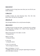### *Luke 14:25-33*

Lordship involves loving Jesus more than your own life & your family members.

### *1 John 2:3-6*

Lordship involves not only Knowing Jesus. One who truly knows Jesus will obey his commands.

### *John 8:31, 32*

Only through obedience do we truly become disciples.

### *John 13:34-35*

Lordship involves loving each other. Loving the lost by seeking and saving them, learning to be a fisher of men, obeying the Great Commission.

[*Matt 28:18-20,Luke 19:10, Mark 1:16-20*] - Loving the Poor.

[*Matt 25:32-46*] - Loving our family.

[*1 Tim 5:8*] - Loving the church.

[*1 Pet 1:22, Gal 6:10*] - Even Loving our enemies.

[*Mat 5:44 Matthew 7:21-23* ] - Lordship involves not only saying the right things but doing the will of the father in heaven.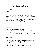# **Uniting with Christ**

# Church

### **Purpose:**

No one will not be left to fend for one"s self after baptism. Instead, Jesus baptizes us into the body, the church (*1st Corinthians 12:12-13*) to be joined by a team of like-minded disciples in our devotion to Him.

These brothers and sisters are meant to be a continual source of encouragement in our walk with Christ.

The Greek word for church is "*ekklesia*" which is a compound word meaning a calling out, an assembly.

### *Colossians 1:18*

- a) The church is the body of Christ.
- b) The body needs the head. Christ is the head of the church.
- c) The church is essential. One cannot say "*yes*" to Jesus and then say "*no*" to his church.

### *1 Corinthians 12:12-26*

- a) All who have been saved are members of Christ"s body
- b) We are baptized by one Spirit into his body.
- c) Every member of the body is important and needed.
- d) There should be no division in the body of Christ.
- e) We should have mutual concern for one another.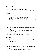### *1 Timothy 3:15*

- a) The church is God"s household [*family*].
- b) Church is to be the pillar and foundation [*base*] of truth.

### *Ephesians 2:19-22*

- a) God"s church is built on Christ as the cornerstone.
- b) The Spirit of God holds its members together.
- c) Apostles and Prophets are the foundation.
- d) The Bible is the church"s authority on matters of doctrine.

### *Ephesians 4:11-16*

- a) God provides his church with various ministers to prepare his people for works of service.
- b) God"s desire is for his church to become mature and unified in the faith.
- c) His church grows when "*each part does its work*."
- d) How can God use you to build up his church?

### *Hebrews 13:17*

a) Church has appointed Leaders and one must submit to their authority.

### *Hebrews 3:12-13*

- a) We are to see to it that our brothers are helped to stay spiritual.
- b) For that we are to encourage one another daily.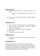### *Hebrews 10:24-25*

a) We are to think about how to "spur" one another on in Christ.

[*Spur is also translated stimulate, provoke, stir up*]

b) We are to be devoted to the habit of meeting together (*Acts 2:42*).

### *Colossians 3:12-17*

- a) These qualities should characterize our relationships in God's church: Compassion, kindness, humility, gentleness and patience.
- b) Bear with each other and forgive any grievances.
- c) Be thankful.
- d) Admonish and teach one another.

### *Matthew 18:15-17*

a) Jesus teaches how Christians are to resolve conflicts in the church.

### *I Corinthians 16:1- 4*

Giving according to the income for the needs of the church. Old Testament principle is Tithe. New Testament Principle is "*According to your Income*" or "*in proportion to your income*". Explaining the principles behind Old Testament giving will help the seeker build strong convictions about giving.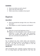### *Conclusion:*

- Why do you think you need a church?
- What is the role of the church?
- What is your role as a member of the church?

# Baptism

# **Acts 2:36-41**

- Peter has preached the message of the cross. What are the next steps?
- What happens as a result of repentance and baptism?

### **Acts 2:36-41**

- When do we receive the forgiveness of sins ?
- $\rightarrow$  Baptism is for the forgiveness of sins, because it is our connection to Jesus" death, burial, and resurrection. Those who accepted this message were baptized, thus they were saved (*note the parallel inv 47*).

# **Romans 6:1-4**

We are baptized into Jesus' death, burial, and resurrection. (*Thus, Peter directed his hearers to be baptized in response to the cross – Act 2:38*). We, too, will be raised to a new life through baptism. Thus, we are born again. **Acts 22:7-16**

After encountering Jesus, repenting, praying, fasting (see *Acts 9:9, 11*), being healed, and being called by God, Paul still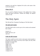remains in sin until he is baptized. He calls on the name of the Lord at his baptism.

### **I Peter 3:20, 21**

We are saved by Baptism because of the pledge that is being made with good conscience. Without the Pledge, our baptism will be in vain.

# The Holy Spirit

The Old and New Testament Teachings on The Holy Spirit

### *The Spirit and Creation*

The Holy Spirit took an active part in the creation and sustained that creation

*Genesis 1:2 Psalm 104:10-14, 30 Job 33:4*

### *Under the Old Covenant*

The Spirit would be sent by God to come upon certain people to temporarily allow them to be led by God"s Spirit, but only while the Spirit was upon them *Numbers 11:25-26 Judges 14:6; Judges 14:9; Judges 15:14 1 Samuel 10:10; 1 Samuel 11:6; 1 Samuel 16:13*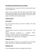## *The Promise of the Spirit in the New Covenant*

God promised a new covenant in which he would send his Spirit to do something new

Under the new covenant the Holy Spirit would dwell within humans and enable them to keep covenant with God. This would be something quite different than the Spirit coming upon certain people at certain times for specific purposes

### *Ezekiel 36:26-28*

### **Acts 2:36-38**

We receive the Holy Spirit at the time of baptism. The Holy Spirit is a gift.

### **John 16:7-8**

Jesus promised to send the Counselor [*the Holy Spirit - John 14:26*].

[*Greek "Paracletos" translated as – Counselor, Helper, Comforter, Advocate, Intercessor or Encourager*]

The Spirit is sent to convict or convince the world [*includes us*] with regard to sin, righteousness, and judgment.

### **Ephesians 1:13-14**

When we become a Christian we are marked with a seal of Holy Spirit. Holy Spirit is a deposit guaranteeing our salvation.

### **Ephesians 3:16**

We are strengthened with power through the Holy Spirit.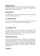### **Romans 8:9, 15-16**

If you do not have the Holy Spirit you do not belong to Christ. [*v 9*]We have received a Spirit of son ship.[*v 15-16*]The Spirit testifies that we are God"s children.

### **Romans 8:26-27**

The Spirit helps us in our weakness.[*Helper*] The Spirit himself intercedes for us.[*Intercessor*]

### **1 Corinthians 6:19-20**

Your body is a temple [sanctuary] of the Holy Spirit The Holy Spirit is in you. So we are to honor God with our body.

## **2 Corinthians 3:17-18**

The Spirit helps us to be transformed into the likeness of Jesus.[*an ongoing "life-long "process*]. In other words, as the Spirit of the Lord works within us, we become more and more like him and reflect his glory even more.

### **Galatians 5:16-18,22-23**

We are to live[walk] by the Spirit [*v 16*]We are to be led[guided, directed] by the Spirit [*v 18*] If we are led by the Spirit and not by our sinful nature then we can bear the fruit of the Spirit which is love, joy, peace, patience, kindness, goodness, faithfulness, gentleness and self-control.[*v 22-23*]Your new life in the Spirit should bear it.

### *Conclusion:*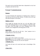We need to rely on the Holy Spirit that is deposited in us by God at baptism and seek his fruit.

# Great Commission

### *Purpose:*

To teach Christians the importance of making Jesus' mission to seek and save the lost as their mission. To heed to the call to go and make disciples of all nations.

### *Matthew 5:14-16*

Jesus taught his disciples that they are to be the light of the world. He challenged them to never extinguish or hide that light, but rather reveal that light to all men. Bringing Christ to the world by your changed life will bring praise to God.

### *Luke 19:10*

Jesus came to seek and save the lost. Jesus" purpose was to bring salvation to the lost (*world*)

### *1 Timothy 1:15-16*

Jesus came to this world to save sinners. **Remember:***you are the example to the world that God can save anyone. If God can save you, he can save anyone! 1 Timothy 2:3-4*

God wants all men to be saved and come to knowledge of the truth.

### *2 Peter 3:8-9*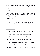God wants all men to come to repentance. God"s patience gives men the opportunity to repent. God delays judgment so men can repent

### *Mark 1:14-18*

From the start of Jesus ministry he calls his followers to fish for men. "*Come follow me...I will make you fishers of men*". Jesus took his purpose and gave it to them.

### *Matthew 28:18-20*

Jesus commanded his followers to be active by making disciples of all nations."*Obey everything*" implies teaching followers to even obey this Great commission. Jesus had a plan to multiply. It starts with you!

### *Romans 10:12-15*

It says that all who calls on the name of Jesus will be saved.

- But how can people be saved without believing?
- How can they believe without hearing?
- How can people hear without someone preaching?
- How can someone preach without being sent to preach?
- Are you willing to be sent to preach?
- Are you willing to be the one having the beautiful feet who takes the good news to people?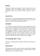### *Acts 8:4*

Persecuted Christians preached the word wherever they went, voluntarily. They were probably ordinary Christians and not prominent leaders of the church. What would you want to do?

### *Acts 11:19-21*

Men who were scattered through persecution traveled very far to other cities to tell people the good news about Jesus. The Lord"s hand was with them and many people believed.

### *Conclusion:*

As a Christian we need to have Jesus' Great commission on our heart. You were reached out to by someone and now you need to do likewise out of gratitude. We need to share our faith with as many people as possible – with our friends, our relatives, with our colleagues at work and school, with anyone we can find. Evangelism is the fruit of your salvation. When you are saved you want everyone else to be saved like you. We need to learn to share our faith with our family, friends or even strangers.

# Counting the Cost

The cost of following Him and being a member of His body, the Church.

# *Luke 14:25-33*

What does Jesus mean to hate everyone in your family, including yourself? Why is this necessary to be a disciple? What will be difficult for you to surrender to Jesus?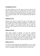## *1Corinthians 12:12-27*

The Spirit baptizes us into the body of Jesus, his church. The church consists of distinct yet unified parts, just like a human body. God, Himself, has arranged it this way. We are the church; each of us must actively look for the distinct yet unified ways we are to support this body. How will you help build up the body of Christ?

### *Ephesians 4:1-16*

Making every effort to maintain the unity of the Spirit in the church requires humility, patience, gentleness, and selflessness. We maintain unity on the essentials of doctrine – one Lord, one faith, one baptism. God provides specific offices within the church in order to prepare us for works of service which build up the body.

### *Hebrews 10:22-25*

After being washed in baptism, we need the continual exhortations of brothers and sisters to stay the course. Prepare in advance how you will spur on fellow Christians in the fellowship. Also prepare to receive biblical input that will result in greater love and good deeds. Why is missing meetings of the body described as a bad habit? Why and when do we meet?

### *Hebrews 3:12-14*

We each have the charge and the responsibility to see to it that no one has a sinful, unbelieving heart that turns away from God. Daily encouragement helps everyone stand firm until the end.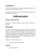### *2 Corinthians 8:7*

God loves a cheerful giver. Our giving supports the body as we reach out to a world in need of Jesus.

Challenge: Do you want to become a disciple? (*Set-up baptism if they want to be baptized.*)

# **Additional studies**

# *False Doctrines*

Systematic Teaching Through Common False Doctrines on Salvation

### **Infant Baptism**

This wasn"t fully accepted in practice until the 5th and 6th centuries. It was not accepted officially as doctrine in the Roman Catholic church until the 14th century. It came about as the response to worried parents who desired emergency baptisms for terminally ill children just to make sure that they were saved. It began with young teens and preteens and continually moved to younger and younger children.

*Hebrews 11:6; Colossians 2:11-12*

• Can a baby have their own faith ?

### *Acts 2:38*

• Can a baby repent ?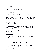### *Galatians 2:20*

Can a baby die to themselves ?

### *Jeremiah 31:31-34*

During the time of the Old Covenant when babies were circumcised into God"s people, God pointed to a new covenant when that would no longer happen and everyone would know God because they had made their own choice to join his people

# Original Sin

This doctrine was first brought into the church in the late 4th century through the teaching of Augustine. It was invented as a justification of the increasingly popular practice of infant baptism. It taught that everyone is born with the guilt of Adam and Eve's sin.

### *Ezekiel 18:19-20*

Each human being is responsible for their own sin and will be judged that way

# Praying Jesus into Your Heart

This became popular in the early 20th century through the Christian revival movement. It taught that you only needed to accept Jesus as your personal savior and invite him into your heart.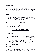### *Revelation 3:20*

This passage is often cited to bolster this doctrine but it is a passage, rich in imagery, written to an existing church calling for them to repent and promising that Jesus would return to them if they did

### *Romans 10:9*

This is another passage used to claim that words alone can save us, but this divorces the verse from the context of the book of Romans where Paul had already thoroughly described the necessity of being baptized into Christ. This passage refers to the confession of "*Jesus is Lord*" that was made

before calling on the name (*or life*) of Jesus at baptism (see *Romans 10:13 and Acts 22:16*)

# **Additional studies**

# Faith Alone

This doctrine came about in the time of Martin Luther as a reaction to the works doctrine that had been accepted by the Roman Catholic Church. To bolster his teachings, Luther claimed that the book of James should not be included in the Bible. In the *20th century* this teaching began to be applied to baptism into Christ and claims that this is a work of man in opposition to God"s grace.

### *Titus 3:4-7*

This passage teaches clearly that baptism is not a work of our own power but is an act of God"s grace and mercy